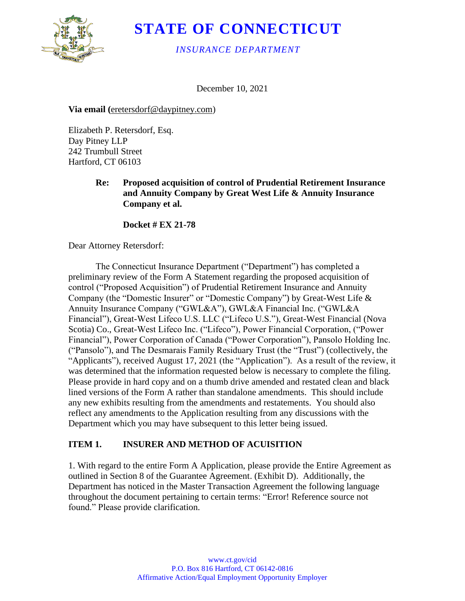

# **STATE OF CONNECTICUT**

#### *INSURANCE DEPARTMENT*

December 10, 2021

**Via email (**eretersdorf@daypitney.com)

Elizabeth P. Retersdorf, Esq. Day Pitney LLP 242 Trumbull Street Hartford, CT 06103

#### **Re: Proposed acquisition of control of Prudential Retirement Insurance and Annuity Company by Great West Life & Annuity Insurance Company et al.**

**Docket # EX 21-78**

Dear Attorney Retersdorf:

The Connecticut Insurance Department ("Department") has completed a preliminary review of the Form A Statement regarding the proposed acquisition of control ("Proposed Acquisition") of Prudential Retirement Insurance and Annuity Company (the "Domestic Insurer" or "Domestic Company") by Great-West Life & Annuity Insurance Company ("GWL&A"), GWL&A Financial Inc. ("GWL&A Financial"), Great-West Lifeco U.S. LLC ("Lifeco U.S."), Great-West Financial (Nova Scotia) Co., Great-West Lifeco Inc. ("Lifeco"), Power Financial Corporation, ("Power Financial"), Power Corporation of Canada ("Power Corporation"), Pansolo Holding Inc. ("Pansolo"), and The Desmarais Family Residuary Trust (the "Trust") (collectively, the "Applicants"), received August 17, 2021 (the "Application"). As a result of the review, it was determined that the information requested below is necessary to complete the filing. Please provide in hard copy and on a thumb drive amended and restated clean and black lined versions of the Form A rather than standalone amendments. This should include any new exhibits resulting from the amendments and restatements. You should also reflect any amendments to the Application resulting from any discussions with the Department which you may have subsequent to this letter being issued.

## **ITEM 1. INSURER AND METHOD OF ACUISITION**

1. With regard to the entire Form A Application, please provide the Entire Agreement as outlined in Section 8 of the Guarantee Agreement. (Exhibit D). Additionally, the Department has noticed in the Master Transaction Agreement the following language throughout the document pertaining to certain terms: "Error! Reference source not found." Please provide clarification.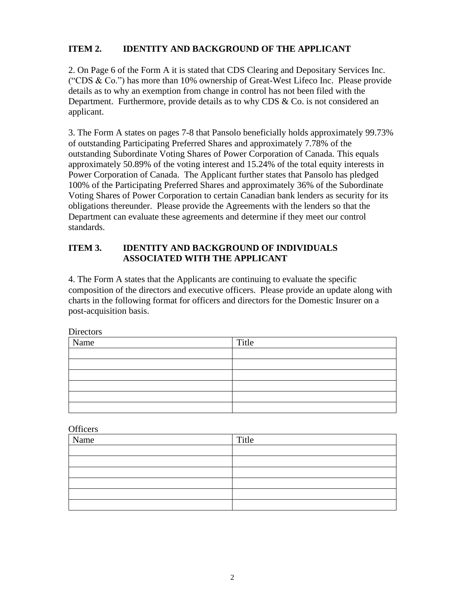#### **ITEM 2. IDENTITY AND BACKGROUND OF THE APPLICANT**

2. On Page 6 of the Form A it is stated that CDS Clearing and Depositary Services Inc. ("CDS & Co.") has more than 10% ownership of Great-West Lifeco Inc. Please provide details as to why an exemption from change in control has not been filed with the Department. Furthermore, provide details as to why CDS  $\&$  Co. is not considered an applicant.

3. The Form A states on pages 7-8 that Pansolo beneficially holds approximately 99.73% of outstanding Participating Preferred Shares and approximately 7.78% of the outstanding Subordinate Voting Shares of Power Corporation of Canada. This equals approximately 50.89% of the voting interest and 15.24% of the total equity interests in Power Corporation of Canada. The Applicant further states that Pansolo has pledged 100% of the Participating Preferred Shares and approximately 36% of the Subordinate Voting Shares of Power Corporation to certain Canadian bank lenders as security for its obligations thereunder. Please provide the Agreements with the lenders so that the Department can evaluate these agreements and determine if they meet our control standards.

#### **ITEM 3. IDENTITY AND BACKGROUND OF INDIVIDUALS ASSOCIATED WITH THE APPLICANT**

4. The Form A states that the Applicants are continuing to evaluate the specific composition of the directors and executive officers. Please provide an update along with charts in the following format for officers and directors for the Domestic Insurer on a post-acquisition basis.

Directors Name Title

**Officers** 

| Name | Title |
|------|-------|
|      |       |
|      |       |
|      |       |
|      |       |
|      |       |
|      |       |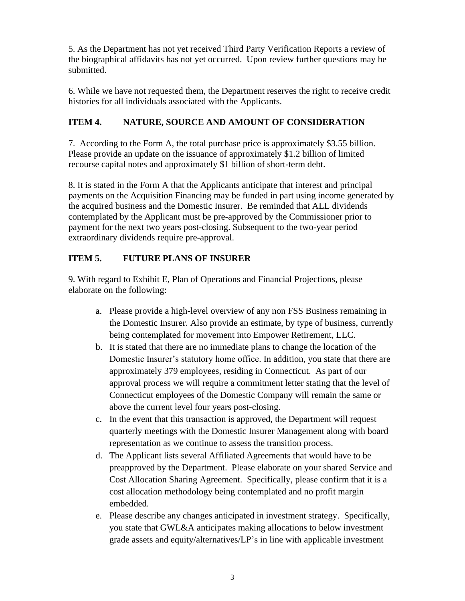5. As the Department has not yet received Third Party Verification Reports a review of the biographical affidavits has not yet occurred. Upon review further questions may be submitted.

6. While we have not requested them, the Department reserves the right to receive credit histories for all individuals associated with the Applicants.

## **ITEM 4. NATURE, SOURCE AND AMOUNT OF CONSIDERATION**

7. According to the Form A, the total purchase price is approximately \$3.55 billion. Please provide an update on the issuance of approximately \$1.2 billion of limited recourse capital notes and approximately \$1 billion of short-term debt.

8. It is stated in the Form A that the Applicants anticipate that interest and principal payments on the Acquisition Financing may be funded in part using income generated by the acquired business and the Domestic Insurer. Be reminded that ALL dividends contemplated by the Applicant must be pre-approved by the Commissioner prior to payment for the next two years post-closing. Subsequent to the two-year period extraordinary dividends require pre-approval.

# **ITEM 5. FUTURE PLANS OF INSURER**

9. With regard to Exhibit E, Plan of Operations and Financial Projections, please elaborate on the following:

- a. Please provide a high-level overview of any non FSS Business remaining in the Domestic Insurer. Also provide an estimate, by type of business, currently being contemplated for movement into Empower Retirement, LLC.
- b. It is stated that there are no immediate plans to change the location of the Domestic Insurer's statutory home office. In addition, you state that there are approximately 379 employees, residing in Connecticut. As part of our approval process we will require a commitment letter stating that the level of Connecticut employees of the Domestic Company will remain the same or above the current level four years post-closing.
- c. In the event that this transaction is approved, the Department will request quarterly meetings with the Domestic Insurer Management along with board representation as we continue to assess the transition process.
- d. The Applicant lists several Affiliated Agreements that would have to be preapproved by the Department. Please elaborate on your shared Service and Cost Allocation Sharing Agreement. Specifically, please confirm that it is a cost allocation methodology being contemplated and no profit margin embedded.
- e. Please describe any changes anticipated in investment strategy. Specifically, you state that GWL&A anticipates making allocations to below investment grade assets and equity/alternatives/LP's in line with applicable investment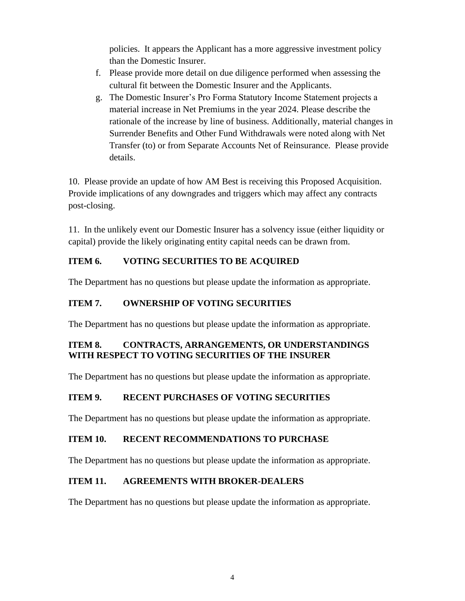policies. It appears the Applicant has a more aggressive investment policy than the Domestic Insurer.

- f. Please provide more detail on due diligence performed when assessing the cultural fit between the Domestic Insurer and the Applicants.
- g. The Domestic Insurer's Pro Forma Statutory Income Statement projects a material increase in Net Premiums in the year 2024. Please describe the rationale of the increase by line of business. Additionally, material changes in Surrender Benefits and Other Fund Withdrawals were noted along with Net Transfer (to) or from Separate Accounts Net of Reinsurance. Please provide details.

10. Please provide an update of how AM Best is receiving this Proposed Acquisition. Provide implications of any downgrades and triggers which may affect any contracts post-closing.

11. In the unlikely event our Domestic Insurer has a solvency issue (either liquidity or capital) provide the likely originating entity capital needs can be drawn from.

# **ITEM 6. VOTING SECURITIES TO BE ACQUIRED**

The Department has no questions but please update the information as appropriate.

## **ITEM 7. OWNERSHIP OF VOTING SECURITIES**

The Department has no questions but please update the information as appropriate.

## **ITEM 8. CONTRACTS, ARRANGEMENTS, OR UNDERSTANDINGS WITH RESPECT TO VOTING SECURITIES OF THE INSURER**

The Department has no questions but please update the information as appropriate.

## **ITEM 9. RECENT PURCHASES OF VOTING SECURITIES**

The Department has no questions but please update the information as appropriate.

## **ITEM 10. RECENT RECOMMENDATIONS TO PURCHASE**

The Department has no questions but please update the information as appropriate.

## **ITEM 11. AGREEMENTS WITH BROKER-DEALERS**

The Department has no questions but please update the information as appropriate.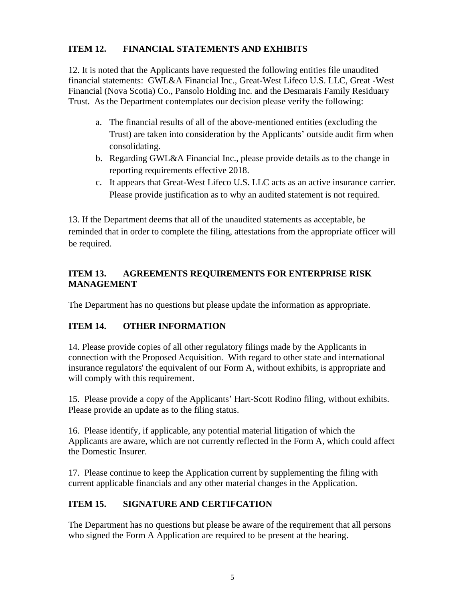#### **ITEM 12. FINANCIAL STATEMENTS AND EXHIBITS**

12. It is noted that the Applicants have requested the following entities file unaudited financial statements: GWL&A Financial Inc., Great-West Lifeco U.S. LLC, Great -West Financial (Nova Scotia) Co., Pansolo Holding Inc. and the Desmarais Family Residuary Trust. As the Department contemplates our decision please verify the following:

- a. The financial results of all of the above-mentioned entities (excluding the Trust) are taken into consideration by the Applicants' outside audit firm when consolidating.
- b. Regarding GWL&A Financial Inc., please provide details as to the change in reporting requirements effective 2018.
- c. It appears that Great-West Lifeco U.S. LLC acts as an active insurance carrier. Please provide justification as to why an audited statement is not required.

13. If the Department deems that all of the unaudited statements as acceptable, be reminded that in order to complete the filing, attestations from the appropriate officer will be required.

#### **ITEM 13. AGREEMENTS REQUIREMENTS FOR ENTERPRISE RISK MANAGEMENT**

The Department has no questions but please update the information as appropriate.

## **ITEM 14. OTHER INFORMATION**

14. Please provide copies of all other regulatory filings made by the Applicants in connection with the Proposed Acquisition. With regard to other state and international insurance regulators' the equivalent of our Form A, without exhibits, is appropriate and will comply with this requirement.

15. Please provide a copy of the Applicants' Hart-Scott Rodino filing, without exhibits. Please provide an update as to the filing status.

16. Please identify, if applicable, any potential material litigation of which the Applicants are aware, which are not currently reflected in the Form A, which could affect the Domestic Insurer.

17. Please continue to keep the Application current by supplementing the filing with current applicable financials and any other material changes in the Application.

## **ITEM 15. SIGNATURE AND CERTIFCATION**

The Department has no questions but please be aware of the requirement that all persons who signed the Form A Application are required to be present at the hearing.